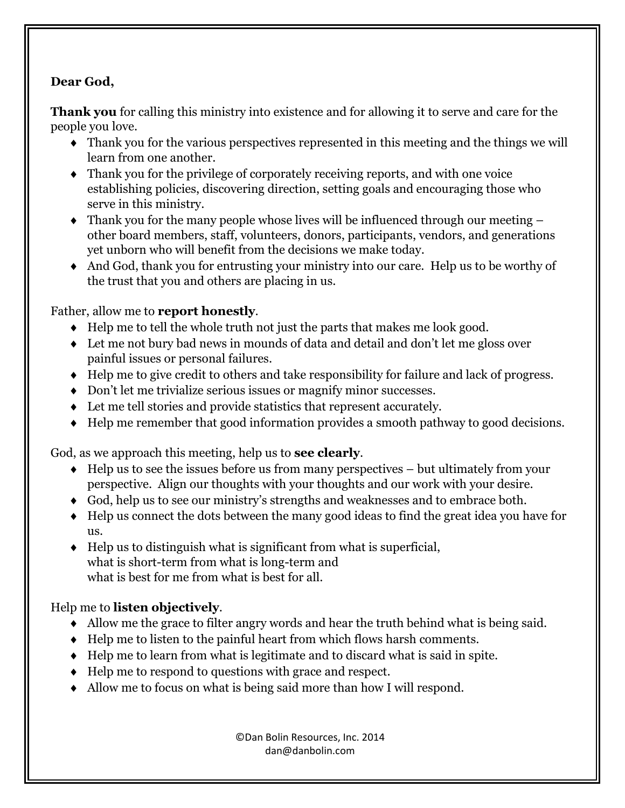## **Dear God,**

**Thank you** for calling this ministry into existence and for allowing it to serve and care for the people you love.

- Thank you for the various perspectives represented in this meeting and the things we will learn from one another.
- Thank you for the privilege of corporately receiving reports, and with one voice establishing policies, discovering direction, setting goals and encouraging those who serve in this ministry.
- Thank you for the many people whose lives will be influenced through our meeting other board members, staff, volunteers, donors, participants, vendors, and generations yet unborn who will benefit from the decisions we make today.
- And God, thank you for entrusting your ministry into our care. Help us to be worthy of the trust that you and others are placing in us.

#### Father, allow me to **report honestly**.

- Help me to tell the whole truth not just the parts that makes me look good.
- Let me not bury bad news in mounds of data and detail and don't let me gloss over painful issues or personal failures.
- Help me to give credit to others and take responsibility for failure and lack of progress.
- Don't let me trivialize serious issues or magnify minor successes.
- Let me tell stories and provide statistics that represent accurately.
- Help me remember that good information provides a smooth pathway to good decisions.

God, as we approach this meeting, help us to **see clearly**.

- $\triangle$  Help us to see the issues before us from many perspectives but ultimately from your perspective. Align our thoughts with your thoughts and our work with your desire.
- God, help us to see our ministry's strengths and weaknesses and to embrace both.
- Help us connect the dots between the many good ideas to find the great idea you have for us.
- $\bullet$  Help us to distinguish what is significant from what is superficial, what is short-term from what is long-term and what is best for me from what is best for all.

### Help me to **listen objectively**.

- Allow me the grace to filter angry words and hear the truth behind what is being said.
- $\blacklozenge$  Help me to listen to the painful heart from which flows harsh comments.
- Help me to learn from what is legitimate and to discard what is said in spite.
- ◆ Help me to respond to questions with grace and respect.
- Allow me to focus on what is being said more than how I will respond.

©Dan Bolin Resources, Inc. 2014 dan@danbolin.com